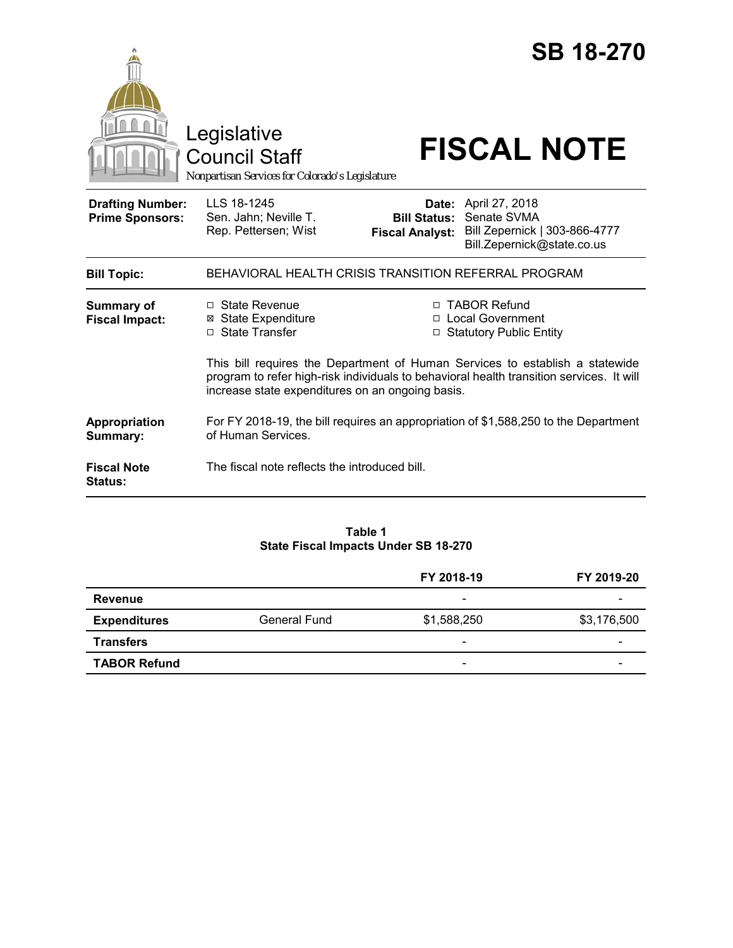|                                                   | Legislative<br><b>Council Staff</b><br>Nonpartisan Services for Colorado's Legislature                                                                                                                                       |                                               | <b>SB 18-270</b><br><b>FISCAL NOTE</b>                                                                    |  |
|---------------------------------------------------|------------------------------------------------------------------------------------------------------------------------------------------------------------------------------------------------------------------------------|-----------------------------------------------|-----------------------------------------------------------------------------------------------------------|--|
| <b>Drafting Number:</b><br><b>Prime Sponsors:</b> | LLS 18-1245<br>Sen. Jahn; Neville T.<br>Rep. Pettersen; Wist                                                                                                                                                                 | <b>Bill Status:</b><br><b>Fiscal Analyst:</b> | <b>Date:</b> April 27, 2018<br>Senate SVMA<br>Bill Zepernick   303-866-4777<br>Bill.Zepernick@state.co.us |  |
| <b>Bill Topic:</b>                                | BEHAVIORAL HEALTH CRISIS TRANSITION REFERRAL PROGRAM                                                                                                                                                                         |                                               |                                                                                                           |  |
| <b>Summary of</b><br><b>Fiscal Impact:</b>        | □ State Revenue<br><b>⊠</b> State Expenditure<br>□ State Transfer                                                                                                                                                            |                                               | □ TABOR Refund<br>□ Local Government<br>□ Statutory Public Entity                                         |  |
|                                                   | This bill requires the Department of Human Services to establish a statewide<br>program to refer high-risk individuals to behavioral health transition services. It will<br>increase state expenditures on an ongoing basis. |                                               |                                                                                                           |  |
| Appropriation<br>Summary:                         | For FY 2018-19, the bill requires an appropriation of \$1,588,250 to the Department<br>of Human Services.                                                                                                                    |                                               |                                                                                                           |  |
| <b>Fiscal Note</b><br><b>Status:</b>              | The fiscal note reflects the introduced bill.                                                                                                                                                                                |                                               |                                                                                                           |  |

## **Table 1 State Fiscal Impacts Under SB 18-270**

|                     |              | FY 2018-19               | FY 2019-20               |
|---------------------|--------------|--------------------------|--------------------------|
| <b>Revenue</b>      |              | $\overline{\phantom{0}}$ |                          |
| <b>Expenditures</b> | General Fund | \$1,588,250              | \$3,176,500              |
| <b>Transfers</b>    |              | $\overline{\phantom{a}}$ | -                        |
| <b>TABOR Refund</b> |              | $\overline{\phantom{a}}$ | $\overline{\phantom{0}}$ |
|                     |              |                          |                          |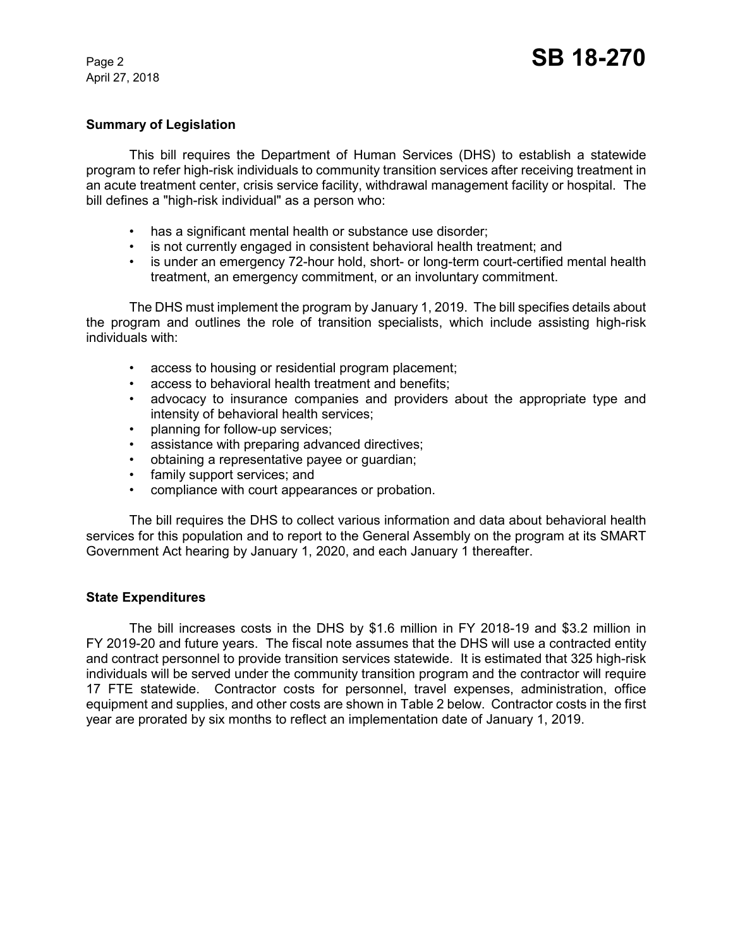April 27, 2018

#### **Summary of Legislation**

This bill requires the Department of Human Services (DHS) to establish a statewide program to refer high-risk individuals to community transition services after receiving treatment in an acute treatment center, crisis service facility, withdrawal management facility or hospital. The bill defines a "high-risk individual" as a person who:

- has a significant mental health or substance use disorder;
- is not currently engaged in consistent behavioral health treatment; and
- is under an emergency 72-hour hold, short- or long-term court-certified mental health treatment, an emergency commitment, or an involuntary commitment.

The DHS must implement the program by January 1, 2019. The bill specifies details about the program and outlines the role of transition specialists, which include assisting high-risk individuals with:

- access to housing or residential program placement;
- access to behavioral health treatment and benefits;
- advocacy to insurance companies and providers about the appropriate type and intensity of behavioral health services;
- planning for follow-up services;
- assistance with preparing advanced directives;
- obtaining a representative payee or guardian;
- family support services; and
- compliance with court appearances or probation.

The bill requires the DHS to collect various information and data about behavioral health services for this population and to report to the General Assembly on the program at its SMART Government Act hearing by January 1, 2020, and each January 1 thereafter.

#### **State Expenditures**

The bill increases costs in the DHS by \$1.6 million in FY 2018-19 and \$3.2 million in FY 2019-20 and future years. The fiscal note assumes that the DHS will use a contracted entity and contract personnel to provide transition services statewide. It is estimated that 325 high-risk individuals will be served under the community transition program and the contractor will require 17 FTE statewide. Contractor costs for personnel, travel expenses, administration, office equipment and supplies, and other costs are shown in Table 2 below. Contractor costs in the first year are prorated by six months to reflect an implementation date of January 1, 2019.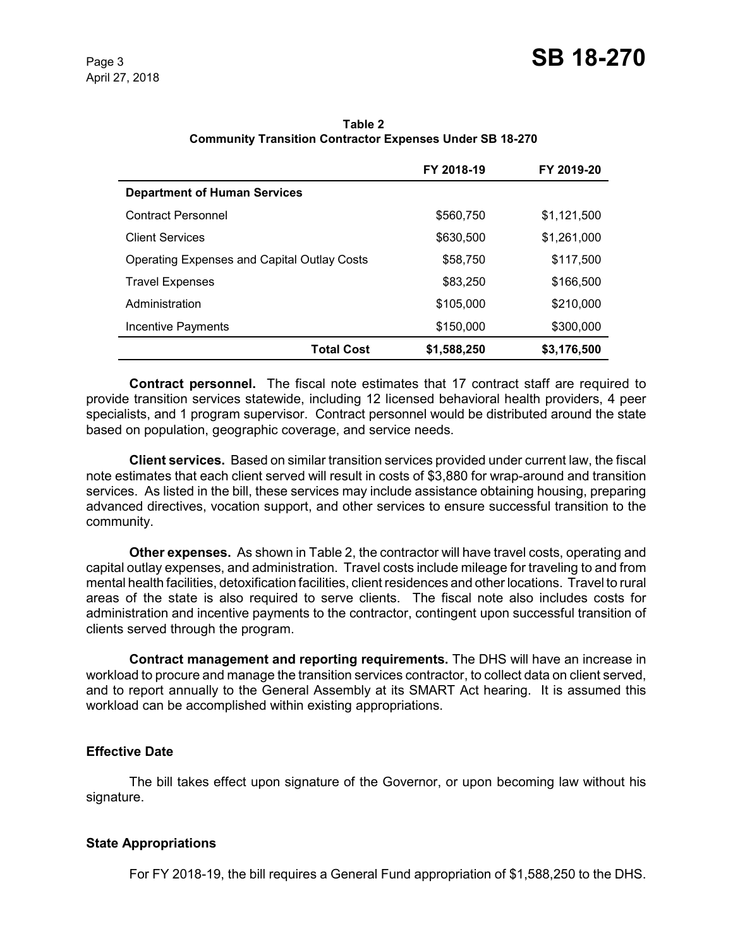|                                                    | FY 2018-19  | FY 2019-20  |
|----------------------------------------------------|-------------|-------------|
| <b>Department of Human Services</b>                |             |             |
| <b>Contract Personnel</b>                          | \$560,750   | \$1,121,500 |
| <b>Client Services</b>                             | \$630,500   | \$1,261,000 |
| <b>Operating Expenses and Capital Outlay Costs</b> | \$58,750    | \$117,500   |
| <b>Travel Expenses</b>                             | \$83,250    | \$166,500   |
| Administration                                     | \$105,000   | \$210,000   |
| Incentive Payments                                 | \$150,000   | \$300,000   |
| <b>Total Cost</b>                                  | \$1,588,250 | \$3,176,500 |

**Table 2 Community Transition Contractor Expenses Under SB 18-270**

**Contract personnel.** The fiscal note estimates that 17 contract staff are required to provide transition services statewide, including 12 licensed behavioral health providers, 4 peer specialists, and 1 program supervisor. Contract personnel would be distributed around the state based on population, geographic coverage, and service needs.

**Client services.** Based on similar transition services provided under current law, the fiscal note estimates that each client served will result in costs of \$3,880 for wrap-around and transition services. As listed in the bill, these services may include assistance obtaining housing, preparing advanced directives, vocation support, and other services to ensure successful transition to the community.

**Other expenses.** As shown in Table 2, the contractor will have travel costs, operating and capital outlay expenses, and administration. Travel costs include mileage for traveling to and from mental health facilities, detoxification facilities, client residences and other locations. Travel to rural areas of the state is also required to serve clients. The fiscal note also includes costs for administration and incentive payments to the contractor, contingent upon successful transition of clients served through the program.

**Contract management and reporting requirements.** The DHS will have an increase in workload to procure and manage the transition services contractor, to collect data on client served, and to report annually to the General Assembly at its SMART Act hearing. It is assumed this workload can be accomplished within existing appropriations.

# **Effective Date**

The bill takes effect upon signature of the Governor, or upon becoming law without his signature.

# **State Appropriations**

For FY 2018-19, the bill requires a General Fund appropriation of \$1,588,250 to the DHS.